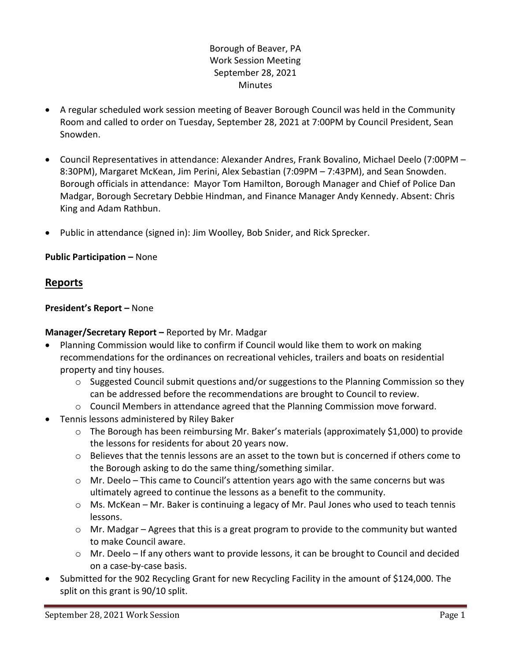## Borough of Beaver, PA Work Session Meeting September 28, 2021 **Minutes**

- A regular scheduled work session meeting of Beaver Borough Council was held in the Community Room and called to order on Tuesday, September 28, 2021 at 7:00PM by Council President, Sean Snowden.
- Council Representatives in attendance: Alexander Andres, Frank Bovalino, Michael Deelo (7:00PM 8:30PM), Margaret McKean, Jim Perini, Alex Sebastian (7:09PM – 7:43PM), and Sean Snowden. Borough officials in attendance: Mayor Tom Hamilton, Borough Manager and Chief of Police Dan Madgar, Borough Secretary Debbie Hindman, and Finance Manager Andy Kennedy. Absent: Chris King and Adam Rathbun.
- Public in attendance (signed in): Jim Woolley, Bob Snider, and Rick Sprecker.

## **Public Participation –** None

## **Reports**

## **President's Report –** None

## **Manager/Secretary Report –** Reported by Mr. Madgar

- Planning Commission would like to confirm if Council would like them to work on making recommendations for the ordinances on recreational vehicles, trailers and boats on residential property and tiny houses.
	- $\circ$  Suggested Council submit questions and/or suggestions to the Planning Commission so they can be addressed before the recommendations are brought to Council to review.
	- $\circ$  Council Members in attendance agreed that the Planning Commission move forward.
- Tennis lessons administered by Riley Baker
	- o The Borough has been reimbursing Mr. Baker's materials (approximately \$1,000) to provide the lessons for residents for about 20 years now.
	- $\circ$  Believes that the tennis lessons are an asset to the town but is concerned if others come to the Borough asking to do the same thing/something similar.
	- $\circ$  Mr. Deelo This came to Council's attention years ago with the same concerns but was ultimately agreed to continue the lessons as a benefit to the community.
	- o Ms. McKean Mr. Baker is continuing a legacy of Mr. Paul Jones who used to teach tennis lessons.
	- o Mr. Madgar Agrees that this is a great program to provide to the community but wanted to make Council aware.
	- o Mr. Deelo If any others want to provide lessons, it can be brought to Council and decided on a case-by-case basis.
- Submitted for the 902 Recycling Grant for new Recycling Facility in the amount of \$124,000. The split on this grant is 90/10 split.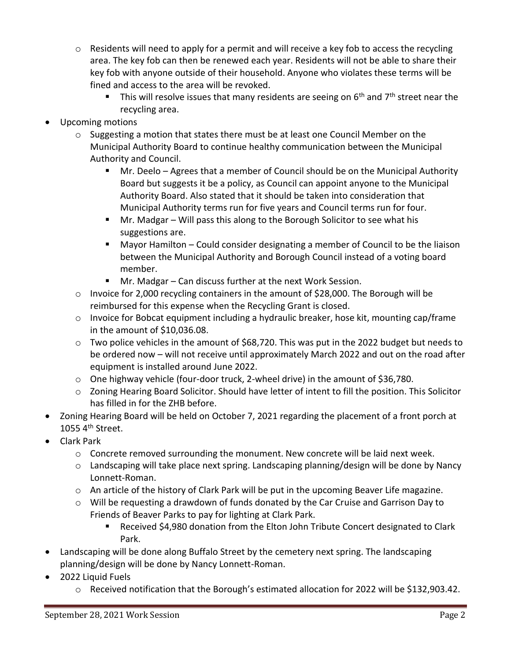- $\circ$  Residents will need to apply for a permit and will receive a key fob to access the recycling area. The key fob can then be renewed each year. Residents will not be able to share their key fob with anyone outside of their household. Anyone who violates these terms will be fined and access to the area will be revoked.
	- This will resolve issues that many residents are seeing on  $6<sup>th</sup>$  and  $7<sup>th</sup>$  street near the recycling area.
- Upcoming motions
	- $\circ$  Suggesting a motion that states there must be at least one Council Member on the Municipal Authority Board to continue healthy communication between the Municipal Authority and Council.
		- Mr. Deelo Agrees that a member of Council should be on the Municipal Authority Board but suggests it be a policy, as Council can appoint anyone to the Municipal Authority Board. Also stated that it should be taken into consideration that Municipal Authority terms run for five years and Council terms run for four.
		- Mr. Madgar Will pass this along to the Borough Solicitor to see what his suggestions are.
		- Mayor Hamilton Could consider designating a member of Council to be the liaison between the Municipal Authority and Borough Council instead of a voting board member.
		- Mr. Madgar Can discuss further at the next Work Session.
	- o Invoice for 2,000 recycling containers in the amount of \$28,000. The Borough will be reimbursed for this expense when the Recycling Grant is closed.
	- o Invoice for Bobcat equipment including a hydraulic breaker, hose kit, mounting cap/frame in the amount of \$10,036.08.
	- o Two police vehicles in the amount of \$68,720. This was put in the 2022 budget but needs to be ordered now – will not receive until approximately March 2022 and out on the road after equipment is installed around June 2022.
	- o One highway vehicle (four-door truck, 2-wheel drive) in the amount of \$36,780.
	- $\circ$  Zoning Hearing Board Solicitor. Should have letter of intent to fill the position. This Solicitor has filled in for the ZHB before.
- Zoning Hearing Board will be held on October 7, 2021 regarding the placement of a front porch at 1055 4th Street.
- Clark Park
	- $\circ$  Concrete removed surrounding the monument. New concrete will be laid next week.
	- o Landscaping will take place next spring. Landscaping planning/design will be done by Nancy Lonnett-Roman.
	- o An article of the history of Clark Park will be put in the upcoming Beaver Life magazine.
	- $\circ$  Will be requesting a drawdown of funds donated by the Car Cruise and Garrison Day to Friends of Beaver Parks to pay for lighting at Clark Park.
		- Received \$4,980 donation from the Elton John Tribute Concert designated to Clark Park.
- Landscaping will be done along Buffalo Street by the cemetery next spring. The landscaping planning/design will be done by Nancy Lonnett-Roman.
- 2022 Liquid Fuels
	- o Received notification that the Borough's estimated allocation for 2022 will be \$132,903.42.